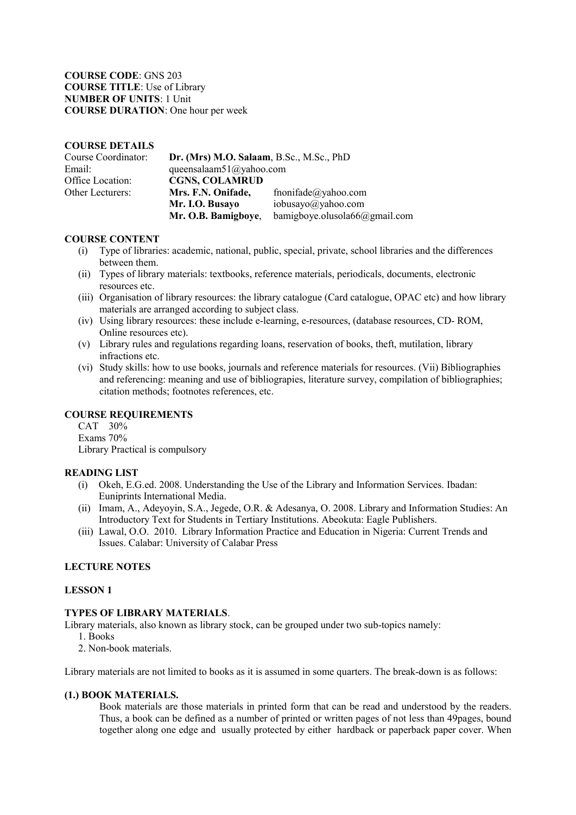**COURSE CODE**: GNS 203 **COURSE TITLE**: Use of Library **NUMBER OF UNITS**: 1 Unit **COURSE DURATION**: One hour per week

### **COURSE DETAILS**

| Course Coordinator: | Dr. (Mrs) M.O. Salaam, B.Sc., M.Sc., PhD |                               |
|---------------------|------------------------------------------|-------------------------------|
| Email:              | queensalaam51@yahoo.com                  |                               |
| Office Location:    | <b>CGNS, COLAMRUD</b>                    |                               |
| Other Lecturers:    | Mrs. F.N. Onifade,                       | fnonifade@yahoo.com           |
|                     | Mr. I.O. Busayo                          | iobusayo@yahoo.com            |
|                     | Mr. O.B. Bamigboye,                      | bamigboye.olusola66@gmail.com |

### **COURSE CONTENT**

- (i) Type of libraries: academic, national, public, special, private, school libraries and the differences between them.
- (ii) Types of library materials: textbooks, reference materials, periodicals, documents, electronic resources etc.
- (iii) Organisation of library resources: the library catalogue (Card catalogue, OPAC etc) and how library materials are arranged according to subject class.
- (iv) Using library resources: these include e-learning, e-resources, (database resources, CD- ROM, Online resources etc).
- (v) Library rules and regulations regarding loans, reservation of books, theft, mutilation, library infractions etc.
- (vi) Study skills: how to use books, journals and reference materials for resources. (Vii) Bibliographies and referencing: meaning and use of bibliograpies, literature survey, compilation of bibliographies; citation methods; footnotes references, etc.

## **COURSE REQUIREMENTS**

CAT 30% Exams 70% Library Practical is compulsory

### **READING LIST**

- (i) Okeh, E.G.ed. 2008. Understanding the Use of the Library and Information Services. Ibadan: Euniprints International Media.
- (ii) Imam, A., Adeyoyin, S.A., Jegede, O.R. & Adesanya, O. 2008. Library and Information Studies: An Introductory Text for Students in Tertiary Institutions. Abeokuta: Eagle Publishers.
- (iii) Lawal, O.O. 2010. Library Information Practice and Education in Nigeria: Current Trends and Issues. Calabar: University of Calabar Press

## **LECTURE NOTES**

### **LESSON 1**

#### **TYPES OF LIBRARY MATERIALS**.

Library materials, also known as library stock, can be grouped under two sub-topics namely:

- 1. Books
- 2. Non-book materials.

Library materials are not limited to books as it is assumed in some quarters. The break-down is as follows:

#### **(1.) BOOK MATERIALS.**

Book materials are those materials in printed form that can be read and understood by the readers. Thus, a book can be defined as a number of printed or written pages of not less than 49pages, bound together along one edge and usually protected by either hardback or paperback paper cover. When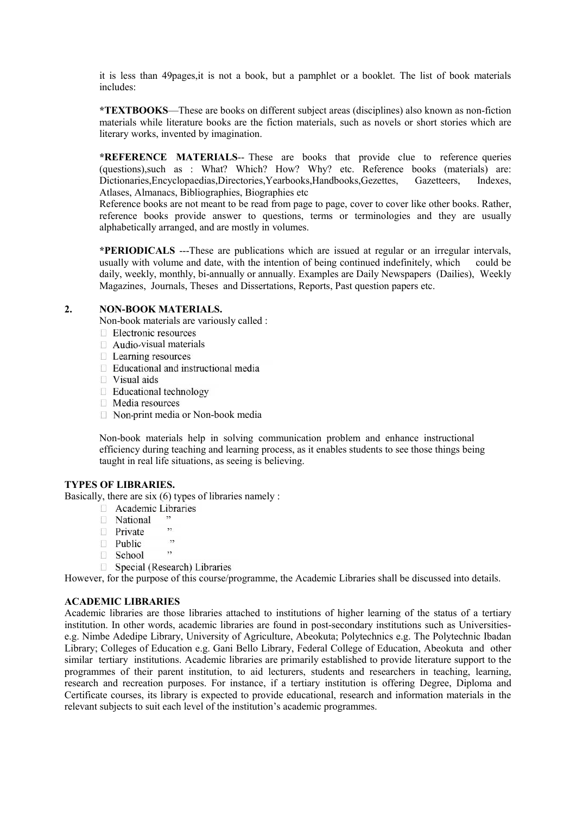it is less than 49pages,it is not a book, but a pamphlet or a booklet. The list of book materials includes:

**\*TEXTBOOKS**—These are books on different subject areas (disciplines) also known as non-fiction materials while literature books are the fiction materials, such as novels or short stories which are literary works, invented by imagination.

**\*REFERENCE MATERIALS**-- These are books that provide clue to reference queries (questions),such as : What? Which? How? Why? etc. Reference books (materials) are: Dictionaries,Encyclopaedias,Directories,Yearbooks,Handbooks,Gezettes, Gazetteers, Indexes, Atlases, Almanacs, Bibliographies, Biographies etc

Reference books are not meant to be read from page to page, cover to cover like other books. Rather, reference books provide answer to questions, terms or terminologies and they are usually alphabetically arranged, and are mostly in volumes.

**\*PERIODICALS** ---These are publications which are issued at regular or an irregular intervals, usually with volume and date, with the intention of being continued indefinitely, which could be daily, weekly, monthly, bi-annually or annually. Examples are Daily Newspapers (Dailies), Weekly Magazines, Journals, Theses and Dissertations, Reports, Past question papers etc.

## **2. NON-BOOK MATERIALS.**

Non-book materials are variously called :

- $\Box$  Electronic resources
- $\Box$  Audio-visual materials
- $\Box$  Learning resources
- $\Box$  Educational and instructional media
- $\Box$  Visual aids
- $\Box$  Educational technology
- $\Box$  Media resources
- $\Box$  Non-print media or Non-book media

Non-book materials help in solving communication problem and enhance instructional efficiency during teaching and learning process, as it enables students to see those things being taught in real life situations, as seeing is believing.

### **TYPES OF LIBRARIES.**

Basically, there are six (6) types of libraries namely :

- **Exercise** Academic Libraries
- □ National
- **Private**
- $,$  $\Box$  Public
- School
- □ Special (Research) Libraries

However, for the purpose of this course/programme, the Academic Libraries shall be discussed into details.

## **ACADEMIC LIBRARIES**

Academic libraries are those libraries attached to institutions of higher learning of the status of a tertiary institution. In other words, academic libraries are found in post-secondary institutions such as Universities e.g. Nimbe Adedipe Library, University of Agriculture, Abeokuta; Polytechnics e.g. The Polytechnic Ibadan Library; Colleges of Education e.g. Gani Bello Library, Federal College of Education, Abeokuta and other similar tertiary institutions. Academic libraries are primarily established to provide literature support to the programmes of their parent institution, to aid lecturers, students and researchers in teaching, learning, research and recreation purposes. For instance, if a tertiary institution is offering Degree, Diploma and Certificate courses, its library is expected to provide educational, research and information materials in the relevant subjects to suit each level of the institution's academic programmes.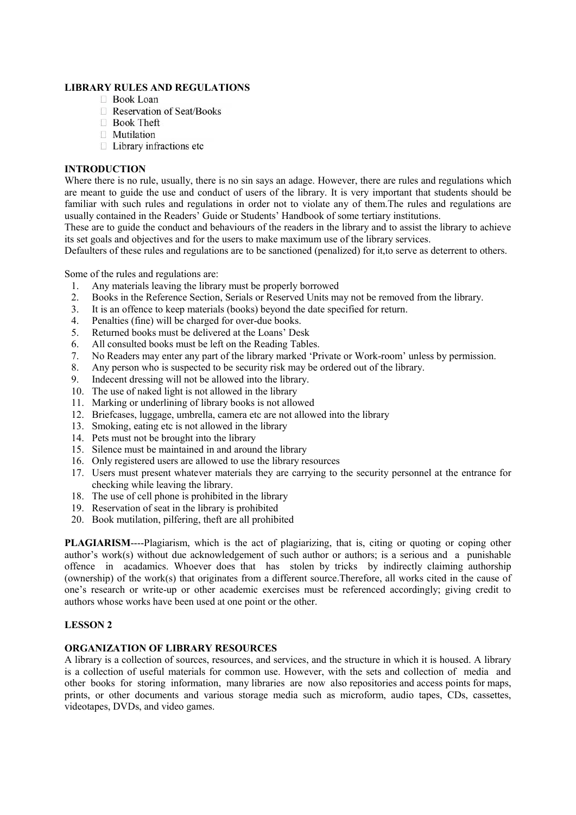## **LIBRARY RULES AND REGULATIONS**

- □ Book Loan
- Reservation of Seat/Books
- **Book Theft**
- $\Box$  Mutilation
- □ Library infractions etc

# **INTRODUCTION**

Where there is no rule, usually, there is no sin says an adage. However, there are rules and regulations which are meant to guide the use and conduct of users of the library. It is very important that students should be familiar with such rules and regulations in order not to violate any of them.The rules and regulations are usually contained in the Readers' Guide or Students' Handbook of some tertiary institutions.

These are to guide the conduct and behaviours of the readers in the library and to assist the library to achieve its set goals and objectives and for the users to make maximum use of the library services.

Defaulters of these rules and regulations are to be sanctioned (penalized) for it,to serve as deterrent to others.

Some of the rules and regulations are:

- 1. Any materials leaving the library must be properly borrowed
- 2. Books in the Reference Section, Serials or Reserved Units may not be removed from the library.
- 3. It is an offence to keep materials (books) beyond the date specified for return.
- 4. Penalties (fine) will be charged for over-due books.
- 5. Returned books must be delivered at the Loans' Desk
- 6. All consulted books must be left on the Reading Tables.
- 7. No Readers may enter any part of the library marked 'Private or Work-room' unless by permission.
- 8. Any person who is suspected to be security risk may be ordered out of the library.
- 9. Indecent dressing will not be allowed into the library.
- 10. The use of naked light is not allowed in the library
- 11. Marking or underlining of library books is not allowed
- 12. Briefcases, luggage, umbrella, camera etc are not allowed into the library
- 13. Smoking, eating etc is not allowed in the library
- 14. Pets must not be brought into the library
- 15. Silence must be maintained in and around the library
- 16. Only registered users are allowed to use the library resources
- 17. Users must present whatever materials they are carrying to the security personnel at the entrance for checking while leaving the library.
- 18. The use of cell phone is prohibited in the library
- 19. Reservation of seat in the library is prohibited
- 20. Book mutilation, pilfering, theft are all prohibited

**PLAGIARISM**----Plagiarism, which is the act of plagiarizing, that is, citing or quoting or coping other author's work(s) without due acknowledgement of such author or authors; is a serious and a punishable offence in acadamics. Whoever does that has stolen by tricks by indirectly claiming authorship (ownership) of the work(s) that originates from a different source.Therefore, all works cited in the cause of one's research or write-up or other academic exercises must be referenced accordingly; giving credit to authors whose works have been used at one point or the other.

## **LESSON 2**

## **ORGANIZATION OF LIBRARY RESOURCES**

A library is a collection of sources, resources, and services, and the structure in which it is housed. A library is a collection of useful materials for common use. However, with the sets and collection of media and other books for storing information, many libraries are now also repositories and access points for maps, prints, or other documents and various storage media such as microform, audio tapes, CDs, cassettes, videotapes, DVDs, and video games.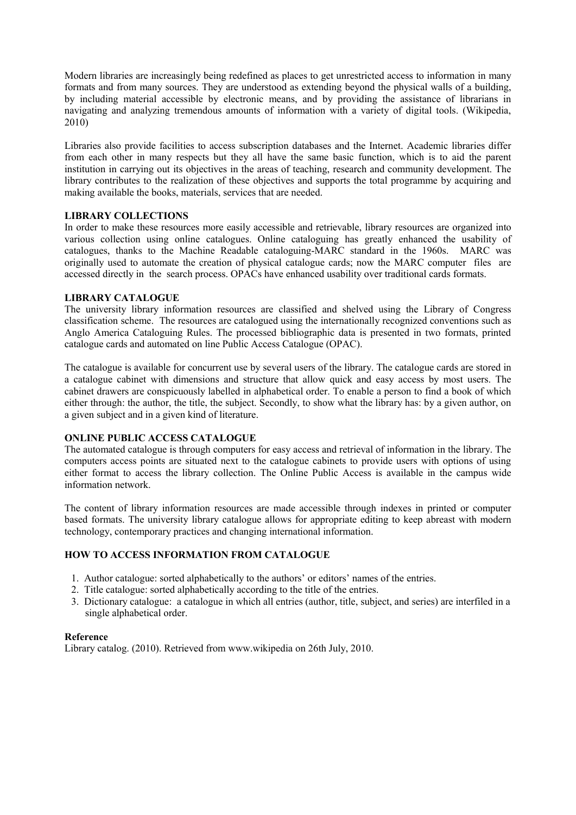Modern libraries are increasingly being redefined as places to get unrestricted access to information in many formats and from many sources. They are understood as extending beyond the physical walls of a building, by including material accessible by electronic means, and by providing the assistance of librarians in navigating and analyzing tremendous amounts of information with a variety of digital tools. (Wikipedia, 2010)

Libraries also provide facilities to access subscription databases and the Internet. Academic libraries differ from each other in many respects but they all have the same basic function, which is to aid the parent institution in carrying out its objectives in the areas of teaching, research and community development. The library contributes to the realization of these objectives and supports the total programme by acquiring and making available the books, materials, services that are needed.

## **LIBRARY COLLECTIONS**

In order to make these resources more easily accessible and retrievable, library resources are organized into various collection using online catalogues. Online cataloguing has greatly enhanced the usability of catalogues, thanks to the Machine Readable cataloguing-MARC standard in the 1960s. MARC was originally used to automate the creation of physical catalogue cards; now the MARC computer files are accessed directly in the search process. OPACs have enhanced usability over traditional cards formats.

## **LIBRARY CATALOGUE**

The university library information resources are classified and shelved using the Library of Congress classification scheme. The resources are catalogued using the internationally recognized conventions such as Anglo America Cataloguing Rules. The processed bibliographic data is presented in two formats, printed catalogue cards and automated on line Public Access Catalogue (OPAC).

The catalogue is available for concurrent use by several users of the library. The catalogue cards are stored in a catalogue cabinet with dimensions and structure that allow quick and easy access by most users. The cabinet drawers are conspicuously labelled in alphabetical order. To enable a person to find a book of which either through: the author, the title, the subject. Secondly, to show what the library has: by a given author, on a given subject and in a given kind of literature.

# **ONLINE PUBLIC ACCESS CATALOGUE**

The automated catalogue is through computers for easy access and retrieval of information in the library. The computers access points are situated next to the catalogue cabinets to provide users with options of using either format to access the library collection. The Online Public Access is available in the campus wide information network.

The content of library information resources are made accessible through indexes in printed or computer based formats. The university library catalogue allows for appropriate editing to keep abreast with modern technology, contemporary practices and changing international information.

## **HOW TO ACCESS INFORMATION FROM CATALOGUE**

- 1. Author catalogue: sorted alphabetically to the authors' or editors' names of the entries.
- 2. Title catalogue: sorted alphabetically according to the title of the entries.
- 3. Dictionary catalogue: a catalogue in which all entries (author, title, subject, and series) are interfiled in a single alphabetical order.

## **Reference**

Library catalog. (2010). Retrieved from www.wikipedia on 26th July, 2010.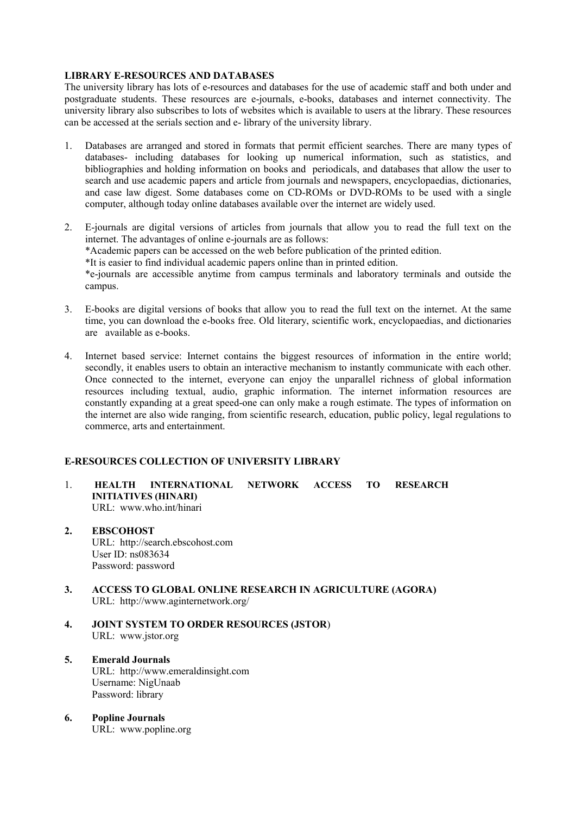## **LIBRARY E-RESOURCES AND DATABASES**

The university library has lots of e-resources and databases for the use of academic staff and both under and postgraduate students. These resources are e-journals, e-books, databases and internet connectivity. The university library also subscribes to lots of websites which is available to users at the library. These resources can be accessed at the serials section and e- library of the university library.

- 1. Databases are arranged and stored in formats that permit efficient searches. There are many types of databases- including databases for looking up numerical information, such as statistics, and bibliographies and holding information on books and periodicals, and databases that allow the user to search and use academic papers and article from journals and newspapers, encyclopaedias, dictionaries, and case law digest. Some databases come on CD-ROMs or DVD-ROMs to be used with a single computer, although today online databases available over the internet are widely used.
- 2. E-journals are digital versions of articles from journals that allow you to read the full text on the internet. The advantages of online e-journals are as follows: \*Academic papers can be accessed on the web before publication of the printed edition. \*It is easier to find individual academic papers online than in printed edition. \*e-journals are accessible anytime from campus terminals and laboratory terminals and outside the campus.
- 3. E-books are digital versions of books that allow you to read the full text on the internet. At the same time, you can download the e-books free. Old literary, scientific work, encyclopaedias, and dictionaries are available as e-books.
- 4. Internet based service: Internet contains the biggest resources of information in the entire world; secondly, it enables users to obtain an interactive mechanism to instantly communicate with each other. Once connected to the internet, everyone can enjoy the unparallel richness of global information resources including textual, audio, graphic information. The internet information resources are constantly expanding at a great speed-one can only make a rough estimate. The types of information on the internet are also wide ranging, from scientific research, education, public policy, legal regulations to commerce, arts and entertainment.

## **E-RESOURCES COLLECTION OF UNIVERSITY LIBRARY**

- 1. **HEALTH INTERNATIONAL NETWORK ACCESS TO RESEARCH INITIATIVES (HINARI)** URL: www.who.int/hinari
- **2. EBSCOHOST** URL: http://search.ebscohost.com User ID: ns083634 Password: password
- **3. ACCESS TO GLOBAL ONLINE RESEARCH IN AGRICULTURE (AGORA)** URL: http://www.aginternetwork.org/
- **4. JOINT SYSTEM TO ORDER RESOURCES (JSTOR**) URL: www.jstor.org
- **5. Emerald Journals** URL: http://www.emeraldinsight.com Username: NigUnaab Password: library
- **6. Popline Journals** URL: www.popline.org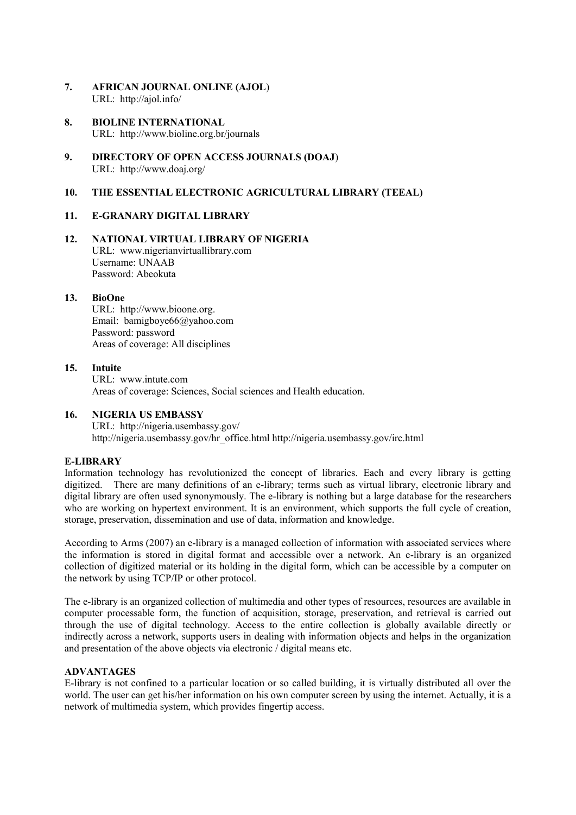- **7. AFRICAN JOURNAL ONLINE (AJOL**) URL: http://ajol.info/
- **8. BIOLINE INTERNATIONAL** URL: http://www.bioline.org.br/journals
- **9. DIRECTORY OF OPEN ACCESS JOURNALS (DOAJ**) URL: http://www.doaj.org/

## **10. THE ESSENTIAL ELECTRONIC AGRICULTURAL LIBRARY (TEEAL)**

#### **11. E-GRANARY DIGITAL LIBRARY**

**12. NATIONAL VIRTUAL LIBRARY OF NIGERIA** URL: www.nigerianvirtuallibrary.com Username: UNAAB Password: Abeokuta

#### **13. BioOne**

URL: http://www.bioone.org. Email: bamigboye66@yahoo.com Password: password Areas of coverage: All disciplines

### **15. Intuite**

URL: www.intute.com Areas of coverage: Sciences, Social sciences and Health education.

#### **16. NIGERIA US EMBASSY**

URL: http://nigeria.usembassy.gov/ http://nigeria.usembassy.gov/hr\_office.html http://nigeria.usembassy.gov/irc.html

### **E-LIBRARY**

Information technology has revolutionized the concept of libraries. Each and every library is getting digitized. There are many definitions of an e-library; terms such as virtual library, electronic library and digital library are often used synonymously. The e-library is nothing but a large database for the researchers who are working on hypertext environment. It is an environment, which supports the full cycle of creation, storage, preservation, dissemination and use of data, information and knowledge.

According to Arms (2007) an e-library is a managed collection of information with associated services where the information is stored in digital format and accessible over a network. An e-library is an organized collection of digitized material or its holding in the digital form, which can be accessible by a computer on the network by using TCP/IP or other protocol.

The e-library is an organized collection of multimedia and other types of resources, resources are available in computer processable form, the function of acquisition, storage, preservation, and retrieval is carried out through the use of digital technology. Access to the entire collection is globally available directly or indirectly across a network, supports users in dealing with information objects and helps in the organization and presentation of the above objects via electronic / digital means etc.

### **ADVANTAGES**

E-library is not confined to a particular location or so called building, it is virtually distributed all over the world. The user can get his/her information on his own computer screen by using the internet. Actually, it is a network of multimedia system, which provides fingertip access.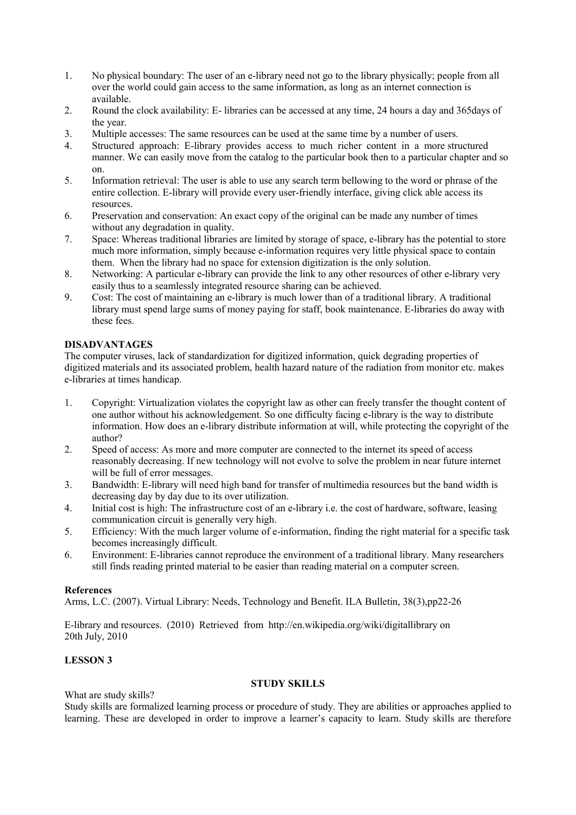- 1. No physical boundary: The user of an e-library need not go to the library physically; people from all over the world could gain access to the same information, as long as an internet connection is available.
- 2. Round the clock availability: E- libraries can be accessed at any time, 24 hours a day and 365days of the year.
- 3. Multiple accesses: The same resources can be used at the same time by a number of users.
- 4. Structured approach: E-library provides access to much richer content in a more structured manner. We can easily move from the catalog to the particular book then to a particular chapter and so on.
- 5. Information retrieval: The user is able to use any search term bellowing to the word or phrase of the entire collection. E-library will provide every user-friendly interface, giving click able access its resources.
- 6. Preservation and conservation: An exact copy of the original can be made any number of times without any degradation in quality.
- 7. Space: Whereas traditional libraries are limited by storage of space, e-library has the potential to store much more information, simply because e-information requires very little physical space to contain them. When the library had no space for extension digitization is the only solution.
- 8. Networking: A particular e-library can provide the link to any other resources of other e-library very easily thus to a seamlessly integrated resource sharing can be achieved.
- 9. Cost: The cost of maintaining an e-library is much lower than of a traditional library. A traditional library must spend large sums of money paying for staff, book maintenance. E-libraries do away with these fees.

## **DISADVANTAGES**

The computer viruses, lack of standardization for digitized information, quick degrading properties of digitized materials and its associated problem, health hazard nature of the radiation from monitor etc. makes e-libraries at times handicap.

- 1. Copyright: Virtualization violates the copyright law as other can freely transfer the thought content of one author without his acknowledgement. So one difficulty facing e-library is the way to distribute information. How does an e-library distribute information at will, while protecting the copyright of the author?
- 2. Speed of access: As more and more computer are connected to the internet its speed of access reasonably decreasing. If new technology will not evolve to solve the problem in near future internet will be full of error messages.
- 3. Bandwidth: E-library will need high band for transfer of multimedia resources but the band width is decreasing day by day due to its over utilization.
- 4. Initial cost is high: The infrastructure cost of an e-library i.e. the cost of hardware, software, leasing communication circuit is generally very high.
- 5. Efficiency: With the much larger volume of e-information, finding the right material for a specific task becomes increasingly difficult.
- 6. Environment: E-libraries cannot reproduce the environment of a traditional library. Many researchers still finds reading printed material to be easier than reading material on a computer screen.

## **References**

Arms, L.C. (2007). Virtual Library: Needs, Technology and Benefit. ILA Bulletin, 38(3),pp22-26

E-library and resources. (2010) Retrieved from http://en.wikipedia.org/wiki/digitallibrary on 20th July, 2010

# **LESSON 3**

# **STUDY SKILLS**

What are study skills?

Study skills are formalized learning process or procedure of study. They are abilities or approaches applied to learning. These are developed in order to improve a learner's capacity to learn. Study skills are therefore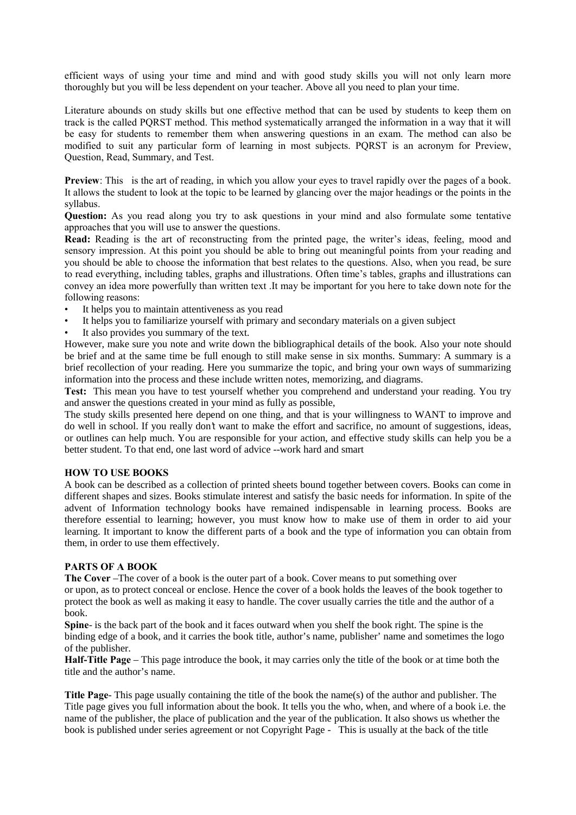efficient ways of using your time and mind and with good study skills you will not only learn more thoroughly but you will be less dependent on your teacher. Above all you need to plan your time.

Literature abounds on study skills but one effective method that can be used by students to keep them on track is the called PQRST method. This method systematically arranged the information in a way that it will be easy for students to remember them when answering questions in an exam. The method can also be modified to suit any particular form of learning in most subjects. PQRST is an acronym for Preview, Question, Read, Summary, and Test.

**Preview**: This is the art of reading, in which you allow your eyes to travel rapidly over the pages of a book. It allows the student to look at the topic to be learned by glancing over the major headings or the points in the syllabus.

**Question:** As you read along you try to ask questions in your mind and also formulate some tentative approaches that you will use to answer the questions.

**Read:** Reading is the art of reconstructing from the printed page, the writer's ideas, feeling, mood and sensory impression. At this point you should be able to bring out meaningful points from your reading and you should be able to choose the information that best relates to the questions. Also, when you read, be sure to read everything, including tables, graphs and illustrations. Often time's tables, graphs and illustrations can convey an idea more powerfully than written text .It may be important for you here to take down note for the following reasons:

- It helps you to maintain attentiveness as you read
- It helps you to familiarize yourself with primary and secondary materials on a given subject
- It also provides you summary of the text.

However, make sure you note and write down the bibliographical details of the book. Also your note should be brief and at the same time be full enough to still make sense in six months. Summary: A summary is a brief recollection of your reading. Here you summarize the topic, and bring your own ways of summarizing information into the process and these include written notes, memorizing, and diagrams.

**Test:** This mean you have to test yourself whether you comprehend and understand your reading. You try and answer the questions created in your mind as fully as possible,

The study skills presented here depend on one thing, and that is your willingness to WANT to improve and do well in school. If you really don't want to make the effort and sacrifice, no amount of suggestions, ideas, or outlines can help much. You are responsible for your action, and effective study skills can help you be a better student. To that end, one last word of advice --work hard and smart

### **HOW TO USE BOOKS**

A book can be described as a collection of printed sheets bound together between covers. Books can come in different shapes and sizes. Books stimulate interest and satisfy the basic needs for information. In spite of the advent of Information technology books have remained indispensable in learning process. Books are therefore essential to learning; however, you must know how to make use of them in order to aid your learning. It important to know the different parts of a book and the type of information you can obtain from them, in order to use them effectively.

## **PARTS OF A BOOK**

**The Cover** –The cover of a book is the outer part of a book. Cover means to put something over or upon, as to protect conceal or enclose. Hence the cover of a book holds the leaves of the book together to protect the book as well as making it easy to handle. The cover usually carries the title and the author of a book.

**Spine**- is the back part of the book and it faces outward when you shelf the book right. The spine is the binding edge of a book, and it carries the book title, author's name, publisher' name and sometimes the logo of the publisher.

**Half-Title Page** – This page introduce the book, it may carries only the title of the book or at time both the title and the author's name.

**Title Page**- This page usually containing the title of the book the name(s) of the author and publisher. The Title page gives you full information about the book. It tells you the who, when, and where of a book i.e. the name of the publisher, the place of publication and the year of the publication. It also shows us whether the book is published under series agreement or not Copyright Page - This is usually at the back of the title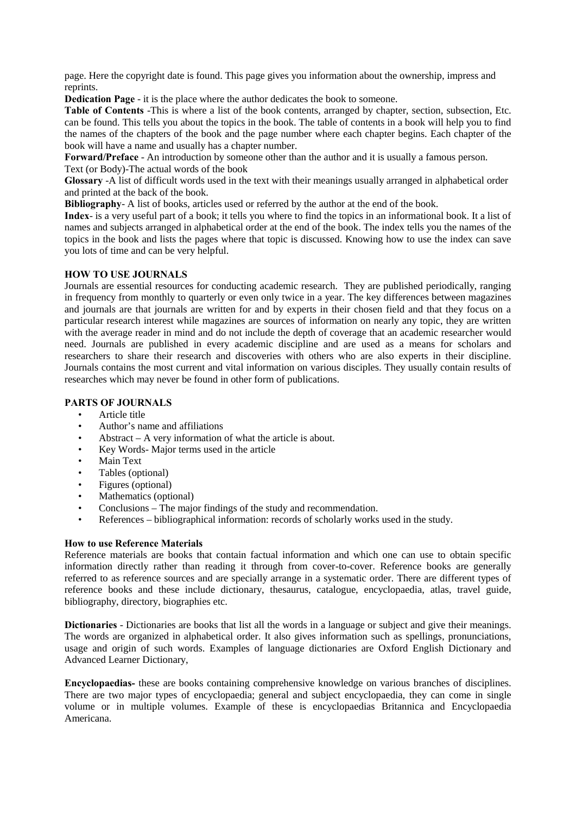page. Here the copyright date is found. This page gives you information about the ownership, impress and reprints.

**Dedication Page** - it is the place where the author dedicates the book to someone.

**Table of Contents** -This is where a list of the book contents, arranged by chapter, section, subsection, Etc. can be found. This tells you about the topics in the book. The table of contents in a book will help you to find the names of the chapters of the book and the page number where each chapter begins. Each chapter of the book will have a name and usually has a chapter number.

**Forward/Preface** - An introduction by someone other than the author and it is usually a famous person. Text (or Body)-The actual words of the book

**Glossary** -A list of difficult words used in the text with their meanings usually arranged in alphabetical order and printed at the back of the book.

**Bibliography**- A list of books, articles used or referred by the author at the end of the book.

**Index**- is a very useful part of a book; it tells you where to find the topics in an informational book. It a list of names and subjects arranged in alphabetical order at the end of the book. The index tells you the names of the topics in the book and lists the pages where that topic is discussed. Knowing how to use the index can save you lots of time and can be very helpful.

## **HOW TO USE JOURNALS**

Journals are essential resources for conducting academic research. They are published periodically, ranging in frequency from monthly to quarterly or even only twice in a year. The key differences between magazines and journals are that journals are written for and by experts in their chosen field and that they focus on a particular research interest while magazines are sources of information on nearly any topic, they are written with the average reader in mind and do not include the depth of coverage that an academic researcher would need. Journals are published in every academic discipline and are used as a means for scholars and researchers to share their research and discoveries with others who are also experts in their discipline. Journals contains the most current and vital information on various disciples. They usually contain results of researches which may never be found in other form of publications.

## **PARTS OF JOURNALS**

- Article title
- Author's name and affiliations
- Abstract A very information of what the article is about.
- Key Words- Major terms used in the article
- Main Text
- Tables (optional)
- Figures (optional)
- Mathematics (optional)
- Conclusions The major findings of the study and recommendation.
- References bibliographical information: records of scholarly works used in the study.

#### **How to use Reference Materials**

Reference materials are books that contain factual information and which one can use to obtain specific information directly rather than reading it through from cover-to-cover. Reference books are generally referred to as reference sources and are specially arrange in a systematic order. There are different types of reference books and these include dictionary, thesaurus, catalogue, encyclopaedia, atlas, travel guide, bibliography, directory, biographies etc.

**Dictionaries** - Dictionaries are books that list all the words in a language or subject and give their meanings. The words are organized in alphabetical order. It also gives information such as spellings, pronunciations, usage and origin of such words. Examples of language dictionaries are Oxford English Dictionary and Advanced Learner Dictionary,

**Encyclopaedias-** these are books containing comprehensive knowledge on various branches of disciplines. There are two major types of encyclopaedia; general and subject encyclopaedia, they can come in single volume or in multiple volumes. Example of these is encyclopaedias Britannica and Encyclopaedia Americana.